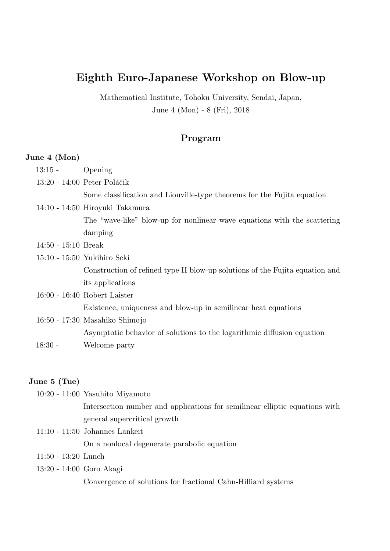# **Eighth Euro-Japanese Workshop on Blow-up**

Mathematical Institute, Tohoku University, Sendai, Japan, June 4 (Mon) - 8 (Fri), 2018

## **Program**

#### **June 4 (Mon)**

- 13:15 Opening
- 13:20 14:00 Peter Poláčik

Some classification and Liouville-type theorems for the Fujita equation

- 14:10 14:50 Hiroyuki Takamura The "wave-like" blow-up for nonlinear wave equations with the scattering damping
- 14:50 15:10 Break
- 15:10 15:50 Yukihiro Seki Construction of refined type II blow-up solutions of the Fujita equation and its applications
- 16:00 16:40 Robert Laister Existence, uniqueness and blow-up in semilinear heat equations
- 16:50 17:30 Masahiko Shimojo Asymptotic behavior of solutions to the logarithmic diffusion equation 18:30 - Welcome party

#### **June 5 (Tue)**

- 10:20 11:00 Yasuhito Miyamoto Intersection number and applications for semilinear elliptic equations with general supercritical growth
- 11:10 11:50 Johannes Lankeit On a nonlocal degenerate parabolic equation
- 11:50 13:20 Lunch
- 13:20 14:00 Goro Akagi

Convergence of solutions for fractional Cahn-Hilliard systems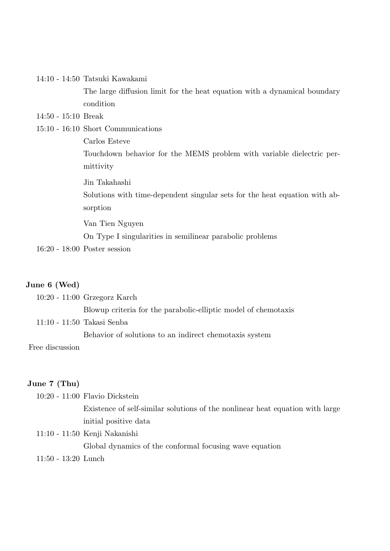14:10 - 14:50 Tatsuki Kawakami

The large diffusion limit for the heat equation with a dynamical boundary condition

14:50 - 15:10 Break

15:10 - 16:10 Short Communications

Carlos Esteve

Touchdown behavior for the MEMS problem with variable dielectric permittivity

Jin Takahashi

Solutions with time-dependent singular sets for the heat equation with absorption

Van Tien Nguyen

On Type I singularities in semilinear parabolic problems

16:20 - 18:00 Poster session

#### **June 6 (Wed)**

10:20 - 11:00 Grzegorz Karch Blowup criteria for the parabolic-elliptic model of chemotaxis 11:10 - 11:50 Takasi Senba

Behavior of solutions to an indirect chemotaxis system

Free discussion

#### **June 7 (Thu)**

10:20 - 11:00 Flavio Dickstein

Existence of self-similar solutions of the nonlinear heat equation with large initial positive data

- 11:10 11:50 Kenji Nakanishi Global dynamics of the conformal focusing wave equation
- 11:50 13:20 Lunch